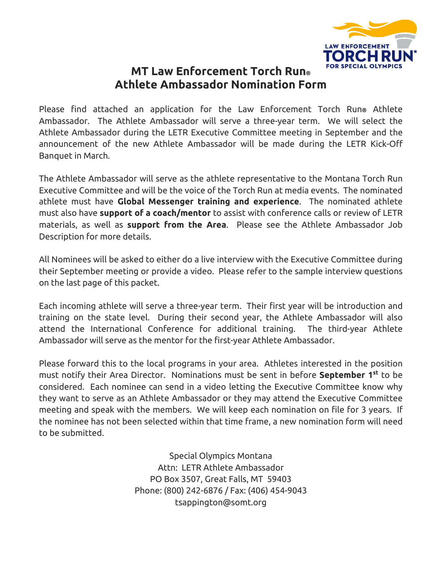

# **MT Law Enforcement Torch Run® Athlete Ambassador Nomination Form**

Please find attached an application for the Law Enforcement Torch Run**®** Athlete Ambassador. The Athlete Ambassador will serve a three-year term. We will select the Athlete Ambassador during the LETR Executive Committee meeting in September and the announcement of the new Athlete Ambassador will be made during the LETR Kick-Off Banquet in March.

The Athlete Ambassador will serve as the athlete representative to the Montana Torch Run Executive Committee and will be the voice of the Torch Run at media events. The nominated athlete must have **Global Messenger training and experience**. The nominated athlete must also have **support of a coach/mentor** to assist with conference calls or review of LETR materials, as well as **support from the Area**. Please see the Athlete Ambassador Job Description for more details.

All Nominees will be asked to either do a live interview with the Executive Committee during their September meeting or provide a video. Please refer to the sample interview questions on the last page of this packet.

Each incoming athlete will serve a three-year term. Their first year will be introduction and training on the state level. During their second year, the Athlete Ambassador will also attend the International Conference for additional training. The third-year Athlete Ambassador will serve as the mentor for the first-year Athlete Ambassador.

Please forward this to the local programs in your area. Athletes interested in the position must notify their Area Director. Nominations must be sent in before **September 1st** to be considered. Each nominee can send in a video letting the Executive Committee know why they want to serve as an Athlete Ambassador or they may attend the Executive Committee meeting and speak with the members. We will keep each nomination on file for 3 years. If the nominee has not been selected within that time frame, a new nomination form will need to be submitted.

> Special Olympics Montana Attn: LETR Athlete Ambassador PO Box 3507, Great Falls, MT 59403 Phone: (800) 242-6876 / Fax: (406) 454-9043 tsappington@somt.org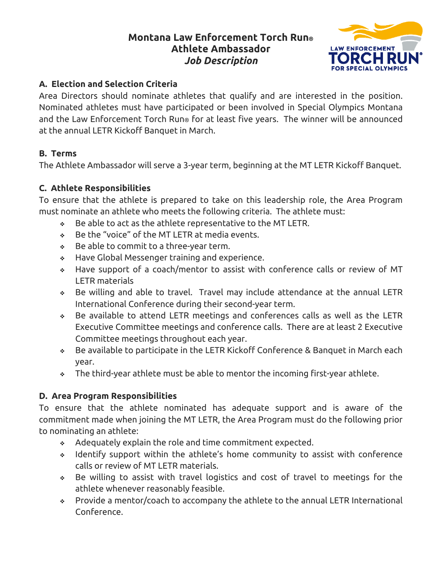# **Montana Law Enforcement Torch Run® Athlete Ambassador**  *Job Description*



## **A. Election and Selection Criteria**

Area Directors should nominate athletes that qualify and are interested in the position. Nominated athletes must have participated or been involved in Special Olympics Montana and the Law Enforcement Torch Run® for at least five years. The winner will be announced at the annual LETR Kickoff Banquet in March.

## **B. Terms**

The Athlete Ambassador will serve a 3-year term, beginning at the MT LETR Kickoff Banquet.

## **C. Athlete Responsibilities**

To ensure that the athlete is prepared to take on this leadership role, the Area Program must nominate an athlete who meets the following criteria. The athlete must:

- $\div$  Be able to act as the athlete representative to the MT LETR.
- Be the "voice" of the MT LETR at media events.
- Be able to commit to a three-year term.
- Have Global Messenger training and experience.
- Have support of a coach/mentor to assist with conference calls or review of MT LETR materials
- Be willing and able to travel. Travel may include attendance at the annual LETR International Conference during their second-year term.
- Be available to attend LETR meetings and conferences calls as well as the LETR Executive Committee meetings and conference calls. There are at least 2 Executive Committee meetings throughout each year.
- Be available to participate in the LETR Kickoff Conference & Banquet in March each year.
- $\bullet$  The third-year athlete must be able to mentor the incoming first-year athlete.

### **D. Area Program Responsibilities**

To ensure that the athlete nominated has adequate support and is aware of the commitment made when joining the MT LETR, the Area Program must do the following prior to nominating an athlete:

- Adequately explain the role and time commitment expected.
- Identify support within the athlete's home community to assist with conference calls or review of MT LETR materials.
- Be willing to assist with travel logistics and cost of travel to meetings for the athlete whenever reasonably feasible.
- Provide a mentor/coach to accompany the athlete to the annual LETR International Conference.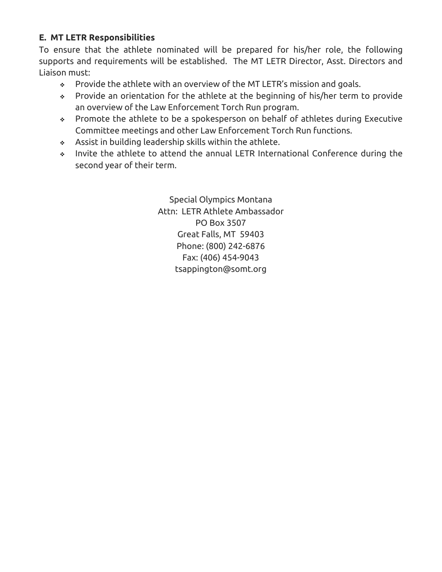### **E. MT LETR Responsibilities**

To ensure that the athlete nominated will be prepared for his/her role, the following supports and requirements will be established. The MT LETR Director, Asst. Directors and Liaison must:

- Provide the athlete with an overview of the MT LETR's mission and goals.
- Provide an orientation for the athlete at the beginning of his/her term to provide an overview of the Law Enforcement Torch Run program.
- Promote the athlete to be a spokesperson on behalf of athletes during Executive Committee meetings and other Law Enforcement Torch Run functions.
- Assist in building leadership skills within the athlete.
- Invite the athlete to attend the annual LETR International Conference during the second year of their term.

Special Olympics Montana Attn: LETR Athlete Ambassador PO Box 3507 Great Falls, MT 59403 Phone: (800) 242-6876 Fax: (406) 454-9043 tsappington@somt.org